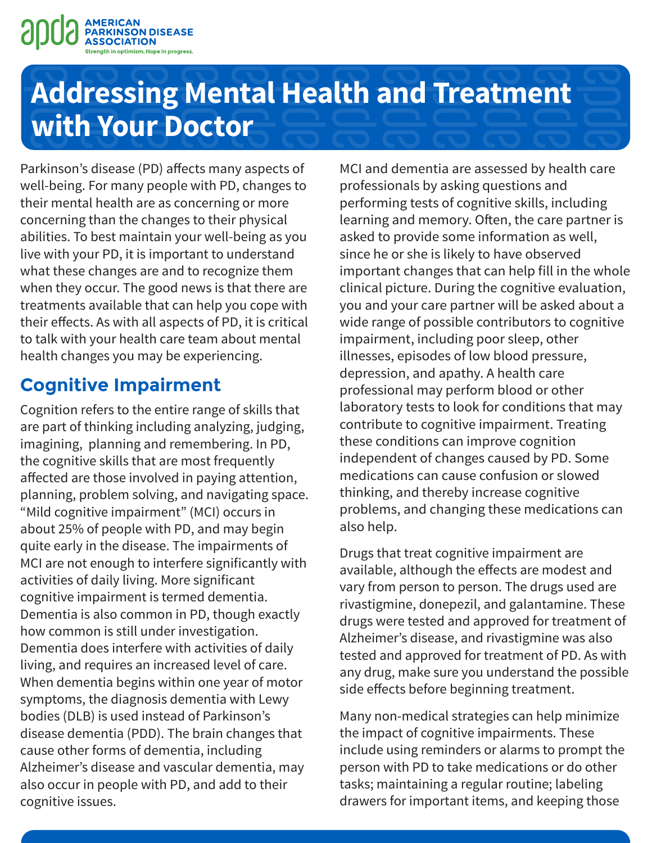

Parkinson's disease (PD) affects many aspects of well-being. For many people with PD, changes to their mental health are as concerning or more concerning than the changes to their physical abilities. To best maintain your well-being as you live with your PD, it is important to understand what these changes are and to recognize them when they occur. The good news is that there are treatments available that can help you cope with their effects. As with all aspects of PD, it is critical to talk with your health care team about mental health changes you may be experiencing.

## **Cognitive Impairment**

Cognition refers to the entire range of skills that are part of thinking including analyzing, judging, imagining, planning and remembering. In PD, the cognitive skills that are most frequently affected are those involved in paying attention, planning, problem solving, and navigating space. "Mild cognitive impairment" (MCI) occurs in about 25% of people with PD, and may begin quite early in the disease. The impairments of MCI are not enough to interfere significantly with activities of daily living. More significant cognitive impairment is termed dementia. Dementia is also common in PD, though exactly how common is still under investigation. Dementia does interfere with activities of daily living, and requires an increased level of care. When dementia begins within one year of motor symptoms, the diagnosis dementia with Lewy bodies (DLB) is used instead of Parkinson's disease dementia (PDD). The brain changes that cause other forms of dementia, including Alzheimer's disease and vascular dementia, may also occur in people with PD, and add to their cognitive issues.

MCI and dementia are assessed by health care professionals by asking questions and performing tests of cognitive skills, including learning and memory. Often, the care partner is asked to provide some information as well, since he or she is likely to have observed important changes that can help fill in the whole clinical picture. During the cognitive evaluation, you and your care partner will be asked about a wide range of possible contributors to cognitive impairment, including poor sleep, other illnesses, episodes of low blood pressure, depression, and apathy. A health care professional may perform blood or other laboratory tests to look for conditions that may contribute to cognitive impairment. Treating these conditions can improve cognition independent of changes caused by PD. Some medications can cause confusion or slowed thinking, and thereby increase cognitive problems, and changing these medications can also help.

Drugs that treat cognitive impairment are available, although the effects are modest and vary from person to person. The drugs used are rivastigmine, donepezil, and galantamine. These drugs were tested and approved for treatment of Alzheimer's disease, and rivastigmine was also tested and approved for treatment of PD. As with any drug, make sure you understand the possible side effects before beginning treatment.

Many non-medical strategies can help minimize the impact of cognitive impairments. These include using reminders or alarms to prompt the person with PD to take medications or do other tasks; maintaining a regular routine; labeling drawers for important items, and keeping those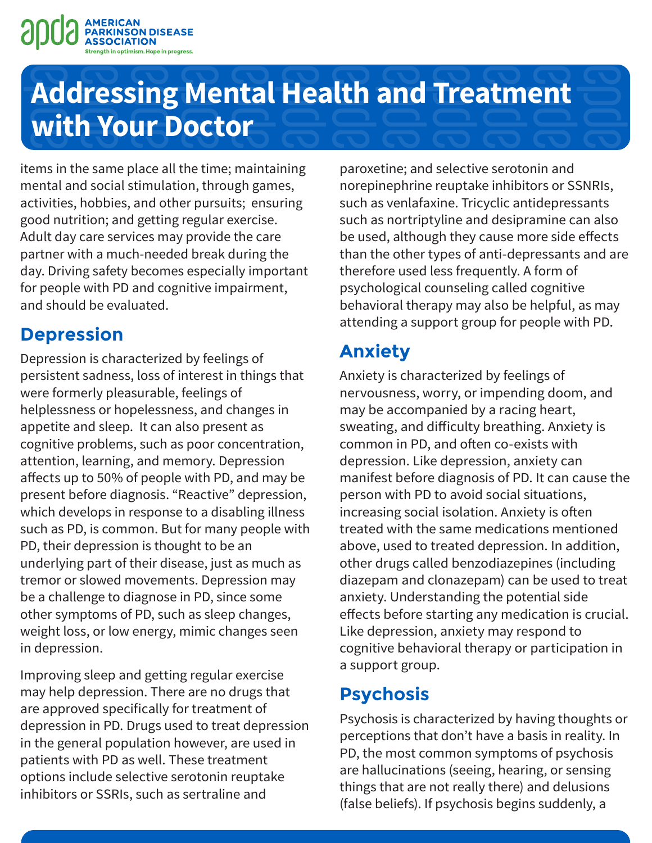

items in the same place all the time; maintaining mental and social stimulation, through games, activities, hobbies, and other pursuits; ensuring good nutrition; and getting regular exercise. Adult day care services may provide the care partner with a much-needed break during the day. Driving safety becomes especially important for people with PD and cognitive impairment, and should be evaluated.

### **Depression**

Depression is characterized by feelings of persistent sadness, loss of interest in things that were formerly pleasurable, feelings of helplessness or hopelessness, and changes in appetite and sleep. It can also present as cognitive problems, such as poor concentration, attention, learning, and memory. Depression affects up to 50% of people with PD, and may be present before diagnosis. "Reactive" depression, which develops in response to a disabling illness such as PD, is common. But for many people with PD, their depression is thought to be an underlying part of their disease, just as much as tremor or slowed movements. Depression may be a challenge to diagnose in PD, since some other symptoms of PD, such as sleep changes, weight loss, or low energy, mimic changes seen in depression.

Improving sleep and getting regular exercise may help depression. There are no drugs that are approved specifically for treatment of depression in PD. Drugs used to treat depression in the general population however, are used in patients with PD as well. These treatment options include selective serotonin reuptake inhibitors or SSRIs, such as sertraline and

paroxetine; and selective serotonin and norepinephrine reuptake inhibitors or SSNRIs, such as venlafaxine. Tricyclic antidepressants such as nortriptyline and desipramine can also be used, although they cause more side effects than the other types of anti-depressants and are therefore used less frequently. A form of psychological counseling called cognitive behavioral therapy may also be helpful, as may attending a support group for people with PD.

## **Anxiety**

Anxiety is characterized by feelings of nervousness, worry, or impending doom, and may be accompanied by a racing heart, sweating, and difficulty breathing. Anxiety is common in PD, and often co-exists with depression. Like depression, anxiety can manifest before diagnosis of PD. It can cause the person with PD to avoid social situations, increasing social isolation. Anxiety is often treated with the same medications mentioned above, used to treated depression. In addition, other drugs called benzodiazepines (including diazepam and clonazepam) can be used to treat anxiety. Understanding the potential side effects before starting any medication is crucial. Like depression, anxiety may respond to cognitive behavioral therapy or participation in a support group.

### **Psychosis**

Psychosis is characterized by having thoughts or perceptions that don't have a basis in reality. In PD, the most common symptoms of psychosis are hallucinations (seeing, hearing, or sensing things that are not really there) and delusions (false beliefs). If psychosis begins suddenly, a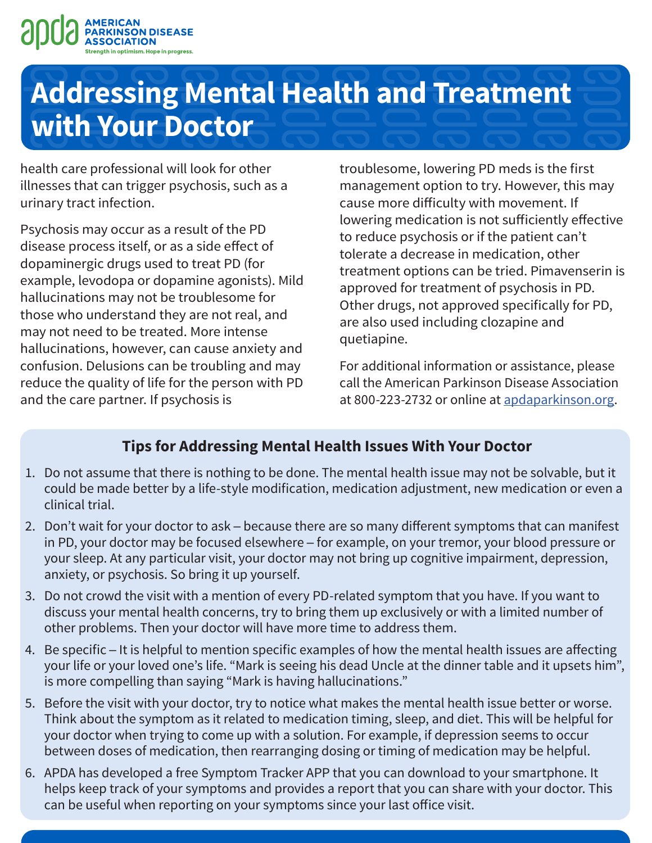

health care professional will look for other illnesses that can trigger psychosis, such as a urinary tract infection.

Psychosis may occur as a result of the PD disease process itself, or as a side effect of dopaminergic drugs used to treat PD (for example, levodopa or dopamine agonists). Mild hallucinations may not be troublesome for those who understand they are not real, and may not need to be treated. More intense hallucinations, however, can cause anxiety and confusion. Delusions can be troubling and may reduce the quality of life for the person with PD and the care partner. If psychosis is

troublesome, lowering PD meds is the first management option to try. However, this may cause more difficulty with movement. If lowering medication is not sufficiently effective to reduce psychosis or if the patient can't tolerate a decrease in medication, other treatment options can be tried. Pimavenserin is approved for treatment of psychosis in PD. Other drugs, not approved specifically for PD, are also used including clozapine and quetiapine.

For additional information or assistance, please call the American Parkinson Disease Association at 800-223-2732 or online at [apdaparkinson.org](http://www.apdaparkinson.org).

#### **Tips for Addressing Mental Health Issues With Your Doctor**

- 1. Do not assume that there is nothing to be done. The mental health issue may not be solvable, but it could be made better by a life-style modification, medication adjustment, new medication or even a clinical trial.
- 2. Don't wait for your doctor to ask because there are so many different symptoms that can manifest in PD, your doctor may be focused elsewhere ─ for example, on your tremor, your blood pressure or your sleep. At any particular visit, your doctor may not bring up cognitive impairment, depression, anxiety, or psychosis. So bring it up yourself.
- 3. Do not crowd the visit with a mention of every PD-related symptom that you have. If you want to discuss your mental health concerns, try to bring them up exclusively or with a limited number of other problems. Then your doctor will have more time to address them.
- 4. Be specific It is helpful to mention specific examples of how the mental health issues are affecting your life or your loved one's life. "Mark is seeing his dead Uncle at the dinner table and it upsets him", is more compelling than saying "Mark is having hallucinations."
- 5. Before the visit with your doctor, try to notice what makes the mental health issue better or worse. Think about the symptom as it related to medication timing, sleep, and diet. This will be helpful for your doctor when trying to come up with a solution. For example, if depression seems to occur between doses of medication, then rearranging dosing or timing of medication may be helpful.
- 6. APDA has developed a free Symptom Tracker APP that you can download to your smartphone. It helps keep track of your symptoms and provides a report that you can share with your doctor. This can be useful when reporting on your symptoms since your last office visit.